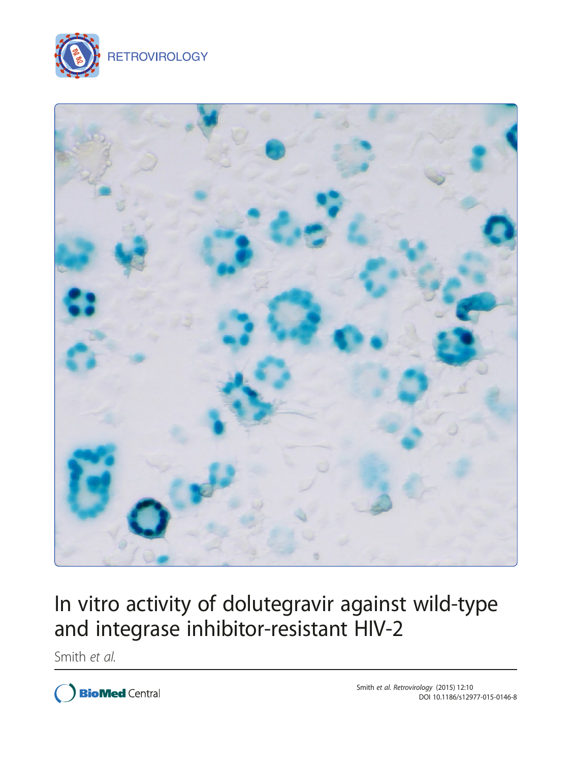



# In vitro activity of dolutegravir against wild-type and integrase inhibitor-resistant HIV-2

Smith et al.

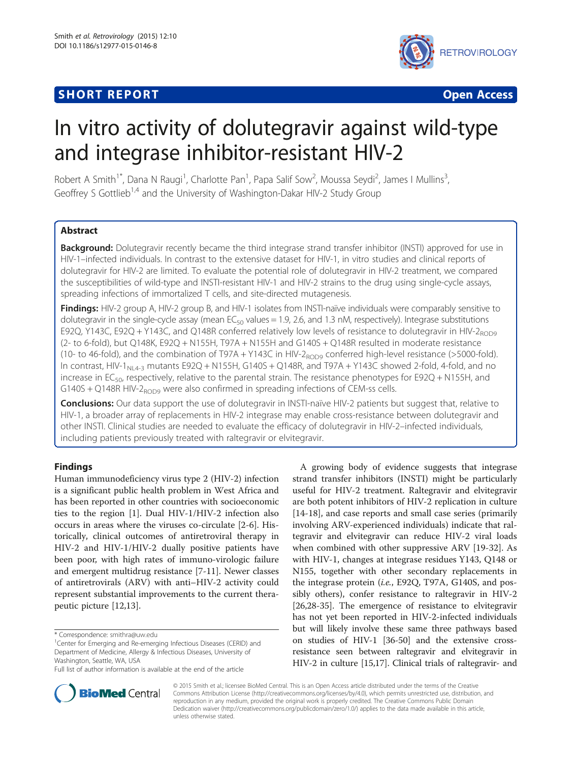## **SHORT REPORT CONTRACT CONTRACT CONTRACT CONTRACT CONTRACT CONTRACT CONTRACT CONTRACT CONTRACT CONTRACT CONTRACT CONTRACT CONTRACT CONTRACT CONTRACT CONTRACT CONTRACT CONTRACT CONTRACT CONTRACT CONTRACT CONTRACT CONTRACT C**



## In vitro activity of dolutegravir against wild-type and integrase inhibitor-resistant HIV-2

Robert A Smith<sup>1\*</sup>, Dana N Raugi<sup>1</sup>, Charlotte Pan<sup>1</sup>, Papa Salif Sow<sup>2</sup>, Moussa Seydi<sup>2</sup>, James I Mullins<sup>3</sup> , Geoffrey S Gottlieb<sup>1,4</sup> and the University of Washington-Dakar HIV-2 Study Group

## Abstract

Background: Dolutegravir recently became the third integrase strand transfer inhibitor (INSTI) approved for use in HIV-1–infected individuals. In contrast to the extensive dataset for HIV-1, in vitro studies and clinical reports of dolutegravir for HIV-2 are limited. To evaluate the potential role of dolutegravir in HIV-2 treatment, we compared the susceptibilities of wild-type and INSTI-resistant HIV-1 and HIV-2 strains to the drug using single-cycle assays, spreading infections of immortalized T cells, and site-directed mutagenesis.

Findings: HIV-2 group A, HIV-2 group B, and HIV-1 isolates from INSTI-naïve individuals were comparably sensitive to dolutegravir in the single-cycle assay (mean  $EC_{50}$  values = 1.9, 2.6, and 1.3 nM, respectively). Integrase substitutions E92Q, Y143C, E92Q + Y143C, and Q148R conferred relatively low levels of resistance to dolutegravir in HIV-2<sub>ROD9</sub> (2- to 6-fold), but Q148K, E92Q + N155H, T97A + N155H and G140S + Q148R resulted in moderate resistance (10- to 46-fold), and the combination of T97A + Y143C in HIV-2<sub>ROD9</sub> conferred high-level resistance (>5000-fold). In contrast, HIV-1<sub>NL4-3</sub> mutants E92Q + N155H, G140S + Q148R, and T97A + Y143C showed 2-fold, 4-fold, and no increase in  $EC_{50}$ , respectively, relative to the parental strain. The resistance phenotypes for E92Q + N155H, and  $G140S + Q148R$  HIV-2<sub>ROD9</sub> were also confirmed in spreading infections of CEM-ss cells.

**Conclusions:** Our data support the use of dolutegravir in INSTI-naïve HIV-2 patients but suggest that, relative to HIV-1, a broader array of replacements in HIV-2 integrase may enable cross-resistance between dolutegravir and other INSTI. Clinical studies are needed to evaluate the efficacy of dolutegravir in HIV-2–infected individuals, including patients previously treated with raltegravir or elvitegravir.

### Findings

Human immunodeficiency virus type 2 (HIV-2) infection is a significant public health problem in West Africa and has been reported in other countries with socioeconomic ties to the region [\[1](#page-6-0)]. Dual HIV-1/HIV-2 infection also occurs in areas where the viruses co-circulate [\[2-6](#page-6-0)]. Historically, clinical outcomes of antiretroviral therapy in HIV-2 and HIV-1/HIV-2 dually positive patients have been poor, with high rates of immuno-virologic failure and emergent multidrug resistance [[7-11\]](#page-6-0). Newer classes of antiretrovirals (ARV) with anti–HIV-2 activity could represent substantial improvements to the current therapeutic picture [[12,13](#page-6-0)].

A growing body of evidence suggests that integrase strand transfer inhibitors (INSTI) might be particularly useful for HIV-2 treatment. Raltegravir and elvitegravir are both potent inhibitors of HIV-2 replication in culture [[14-18](#page-6-0)], and case reports and small case series (primarily involving ARV-experienced individuals) indicate that raltegravir and elvitegravir can reduce HIV-2 viral loads when combined with other suppressive ARV [[19-](#page-6-0)[32](#page-7-0)]. As with HIV-1, changes at integrase residues Y143, Q148 or N155, together with other secondary replacements in the integrase protein (i.e., E92Q, T97A, G140S, and possibly others), confer resistance to raltegravir in HIV-2 [[26,28-35\]](#page-7-0). The emergence of resistance to elvitegravir has not yet been reported in HIV-2-infected individuals but will likely involve these same three pathways based on studies of HIV-1 [[36](#page-7-0)-[50\]](#page-7-0) and the extensive crossresistance seen between raltegravir and elvitegravir in HIV-2 in culture [\[15,17](#page-6-0)]. Clinical trials of raltegravir- and



© 2015 Smith et al.; licensee BioMed Central. This is an Open Access article distributed under the terms of the Creative Commons Attribution License [\(http://creativecommons.org/licenses/by/4.0\)](http://creativecommons.org/licenses/by/4.0), which permits unrestricted use, distribution, and reproduction in any medium, provided the original work is properly credited. The Creative Commons Public Domain Dedication waiver [\(http://creativecommons.org/publicdomain/zero/1.0/](http://creativecommons.org/publicdomain/zero/1.0/)) applies to the data made available in this article, unless otherwise stated.

<sup>\*</sup> Correspondence: [smithra@uw.edu](mailto:smithra@uw.edu) <sup>1</sup>

Center for Emerging and Re-emerging Infectious Diseases (CERID) and Department of Medicine, Allergy & Infectious Diseases, University of Washington, Seattle, WA, USA

Full list of author information is available at the end of the article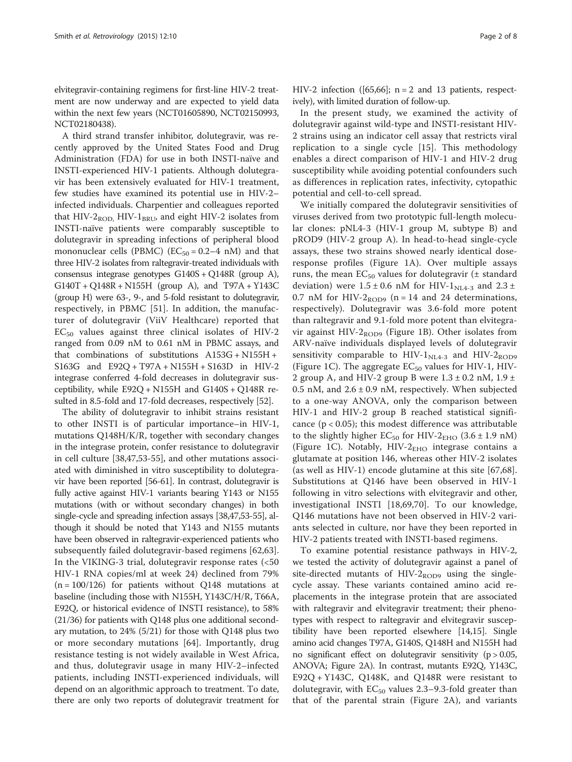elvitegravir-containing regimens for first-line HIV-2 treatment are now underway and are expected to yield data within the next few years (NCT01605890, NCT02150993, NCT02180438).

A third strand transfer inhibitor, dolutegravir, was recently approved by the United States Food and Drug Administration (FDA) for use in both INSTI-naïve and INSTI-experienced HIV-1 patients. Although dolutegravir has been extensively evaluated for HIV-1 treatment, few studies have examined its potential use in HIV-2– infected individuals. Charpentier and colleagues reported that HIV- $2_{\text{ROD}}$  HIV- $1_{\text{BRL}}$  and eight HIV-2 isolates from INSTI-naïve patients were comparably susceptible to dolutegravir in spreading infections of peripheral blood mononuclear cells (PBMC) ( $EC_{50} = 0.2-4$  nM) and that three HIV-2 isolates from raltegravir-treated individuals with consensus integrase genotypes G140S + Q148R (group A), G140T + Q148R + N155H (group A), and T97A + Y143C (group H) were 63-, 9-, and 5-fold resistant to dolutegravir, respectively, in PBMC [[51\]](#page-7-0). In addition, the manufacturer of dolutegravir (ViiV Healthcare) reported that  $EC_{50}$  values against three clinical isolates of HIV-2 ranged from 0.09 nM to 0.61 nM in PBMC assays, and that combinations of substitutions A153G + N155H + S163G and E92Q + T97A + N155H + S163D in HIV-2 integrase conferred 4-fold decreases in dolutegravir susceptibility, while E92Q + N155H and G140S + Q148R resulted in 8.5-fold and 17-fold decreases, respectively [\[52\]](#page-7-0).

The ability of dolutegravir to inhibit strains resistant to other INSTI is of particular importance–in HIV-1, mutations Q148H/K/R, together with secondary changes in the integrase protein, confer resistance to dolutegravir in cell culture [\[38,47,53-55](#page-7-0)], and other mutations associated with diminished in vitro susceptibility to dolutegravir have been reported [\[56-61\]](#page-7-0). In contrast, dolutegravir is fully active against HIV-1 variants bearing Y143 or N155 mutations (with or without secondary changes) in both single-cycle and spreading infection assays [[38,47,53-55\]](#page-7-0), although it should be noted that Y143 and N155 mutants have been observed in raltegravir-experienced patients who subsequently failed dolutegravir-based regimens [[62,63](#page-7-0)]. In the VIKING-3 trial, dolutegravir response rates (<50 HIV-1 RNA copies/ml at week 24) declined from 79%  $(n = 100/126)$  for patients without Q148 mutations at baseline (including those with N155H, Y143C/H/R, T66A, E92Q, or historical evidence of INSTI resistance), to 58% (21/36) for patients with Q148 plus one additional secondary mutation, to 24% (5/21) for those with Q148 plus two or more secondary mutations [[64](#page-8-0)]. Importantly, drug resistance testing is not widely available in West Africa, and thus, dolutegravir usage in many HIV-2–infected patients, including INSTI-experienced individuals, will depend on an algorithmic approach to treatment. To date, there are only two reports of dolutegravir treatment for HIV-2 infection ([\[65,66](#page-8-0)];  $n = 2$  and 13 patients, respectively), with limited duration of follow-up.

In the present study, we examined the activity of dolutegravir against wild-type and INSTI-resistant HIV-2 strains using an indicator cell assay that restricts viral replication to a single cycle [[15\]](#page-6-0). This methodology enables a direct comparison of HIV-1 and HIV-2 drug susceptibility while avoiding potential confounders such as differences in replication rates, infectivity, cytopathic potential and cell-to-cell spread.

We initially compared the dolutegravir sensitivities of viruses derived from two prototypic full-length molecular clones: pNL4-3 (HIV-1 group M, subtype B) and pROD9 (HIV-2 group A). In head-to-head single-cycle assays, these two strains showed nearly identical doseresponse profiles (Figure [1](#page-3-0)A). Over multiple assays runs, the mean  $EC_{50}$  values for dolutegravir ( $\pm$  standard deviation) were  $1.5 \pm 0.6$  nM for HIV-1<sub>NL4-3</sub> and  $2.3 \pm$ 0.7 nM for HIV-2 $_{\text{ROD9}}$  (n = 14 and 24 determinations, respectively). Dolutegravir was 3.6-fold more potent than raltegravir and 9.1-fold more potent than elvitegravir against HIV- $2_{\rm ROD9}$  (Figure [1B](#page-3-0)). Other isolates from ARV-naïve individuals displayed levels of dolutegravir sensitivity comparable to HIV- $1<sub>NL4-3</sub>$  and HIV- $2<sub>ROD9</sub>$ (Figure [1](#page-3-0)C). The aggregate  $EC_{50}$  values for HIV-1, HIV-2 group A, and HIV-2 group B were  $1.3 \pm 0.2$  nM,  $1.9 \pm$ 0.5 nM, and  $2.6 \pm 0.9$  nM, respectively. When subjected to a one-way ANOVA, only the comparison between HIV-1 and HIV-2 group B reached statistical significance ( $p < 0.05$ ); this modest difference was attributable to the slightly higher  $EC_{50}$  for HIV-2<sub>EHO</sub> (3.6 ± 1.9 nM) (Figure [1C](#page-3-0)). Notably,  $HIV-2<sub>EHO</sub>$  integrase contains a glutamate at position 146, whereas other HIV-2 isolates (as well as HIV-1) encode glutamine at this site [[67,68](#page-8-0)]. Substitutions at Q146 have been observed in HIV-1 following in vitro selections with elvitegravir and other, investigational INSTI [[18,](#page-6-0)[69,70](#page-8-0)]. To our knowledge, Q146 mutations have not been observed in HIV-2 variants selected in culture, nor have they been reported in HIV-2 patients treated with INSTI-based regimens.

To examine potential resistance pathways in HIV-2, we tested the activity of dolutegravir against a panel of site-directed mutants of HIV- $2_{ROD9}$  using the singlecycle assay. These variants contained amino acid replacements in the integrase protein that are associated with raltegravir and elvitegravir treatment; their phenotypes with respect to raltegravir and elvitegravir susceptibility have been reported elsewhere [\[14,15\]](#page-6-0). Single amino acid changes T97A, G140S, Q148H and N155H had no significant effect on dolutegravir sensitivity ( $p > 0.05$ , ANOVA; Figure [2A](#page-5-0)). In contrast, mutants E92Q, Y143C, E92Q + Y143C, Q148K, and Q148R were resistant to dolutegravir, with  $EC_{50}$  values 2.3–9.3-fold greater than that of the parental strain (Figure [2](#page-5-0)A), and variants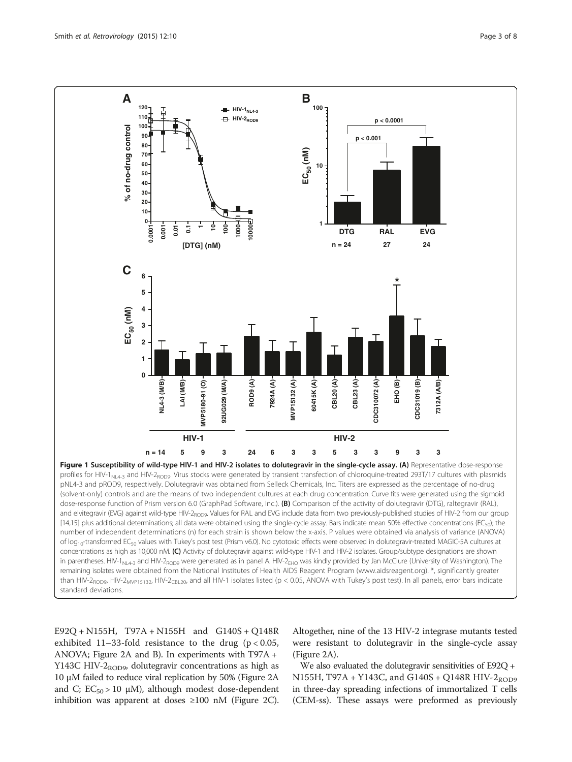<span id="page-3-0"></span>

E92Q + N155H, T97A + N155H and G140S + Q148R exhibited  $11-33$ -fold resistance to the drug ( $p < 0.05$ , ANOVA; Figure [2](#page-5-0)A and B). In experiments with T97A + Y143C HIV- $2_{ROD9}$ , dolutegravir concentrations as high as 10 μM failed to reduce viral replication by 50% (Figure [2A](#page-5-0) and C;  $EC_{50} > 10 \mu M$ ), although modest dose-dependent inhibition was apparent at doses ≥100 nM (Figure [2C](#page-5-0)). Altogether, nine of the 13 HIV-2 integrase mutants tested were resistant to dolutegravir in the single-cycle assay (Figure [2](#page-5-0)A).

We also evaluated the dolutegravir sensitivities of E92Q + N155H, T97A + Y143C, and G140S + Q148R HIV-2<sub>ROD9</sub> in three-day spreading infections of immortalized T cells (CEM-ss). These assays were preformed as previously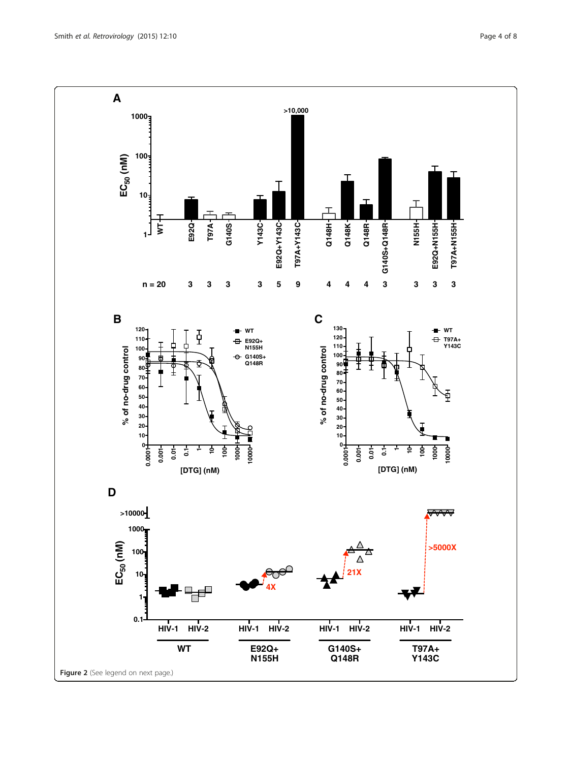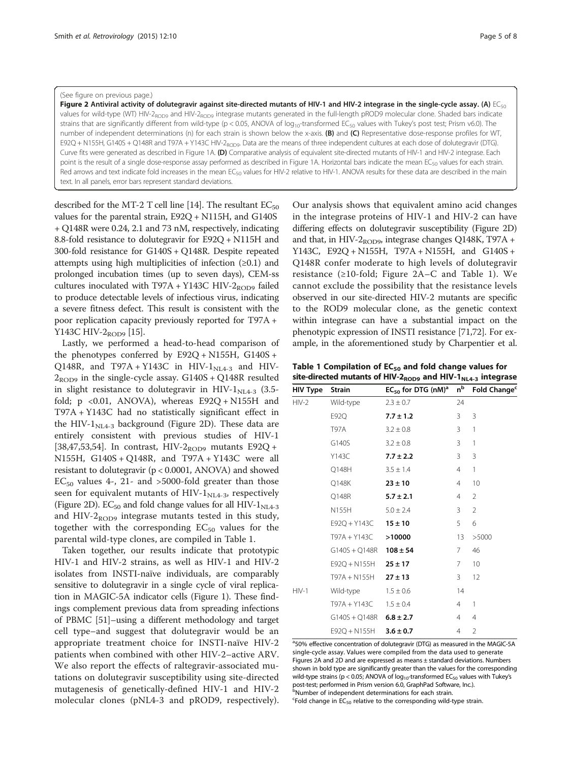#### <span id="page-5-0"></span>(See figure on previous page.)

Figure 2 Antiviral activity of dolutegravir against site-directed mutants of HIV-1 and HIV-2 integrase in the single-cycle assay. (A)  $EC_{50}$ values for wild-type (WT) HIV-2<sub>ROD9</sub> and HIV-2<sub>ROD9</sub> integrase mutants generated in the full-length pROD9 molecular clone. Shaded bars indicate strains that are significantly different from wild-type (p < 0.05, ANOVA of  $log_{10}$ -transformed EC<sub>50</sub> values with Tukey's post test; Prism v6.0). The number of independent determinations (n) for each strain is shown below the x-axis. (B) and (C) Representative dose-response profiles for WT, E92Q + N155H, G140S + Q148R and T97A + Y143C HIV-2<sub>ROD9</sub>. Data are the means of three independent cultures at each dose of dolutegravir (DTG). Curve fits were generated as described in Figure [1A](#page-3-0). (D) Comparative analysis of equivalent site-directed mutants of HIV-1 and HIV-2 integrase. Each point is the result of a single dose-response assay performed as described in Figure [1A](#page-3-0). Horizontal bars indicate the mean EC<sub>50</sub> values for each strain. Red arrows and text indicate fold increases in the mean EC<sub>50</sub> values for HIV-2 relative to HIV-1. ANOVA results for these data are described in the main text. In all panels, error bars represent standard deviations.

described for the MT-2 T cell line [[14](#page-6-0)]. The resultant  $EC_{50}$ values for the parental strain, E92Q + N115H, and G140S + Q148R were 0.24, 2.1 and 73 nM, respectively, indicating 8.8-fold resistance to dolutegravir for E92Q + N115H and 300-fold resistance for G140S + Q148R. Despite repeated attempts using high multiplicities of infection  $(≥0.1)$  and prolonged incubation times (up to seven days), CEM-ss cultures inoculated with T97A + Y143C HIV-2<sub>ROD9</sub> failed to produce detectable levels of infectious virus, indicating a severe fitness defect. This result is consistent with the poor replication capacity previously reported for T97A + Y143C HIV- $2_{\rm ROD9}$  [\[15\]](#page-6-0).

Lastly, we performed a head-to-head comparison of the phenotypes conferred by E92Q + N155H, G140S + Q148R, and T97A + Y143C in HIV- $1<sub>NLA-3</sub>$  and HIV- $2_{\text{ROD9}}$  in the single-cycle assay. G140S + Q148R resulted in slight resistance to dolutegravir in HIV- $1_{NL4-3}$  (3.5fold;  $p \le 0.01$ , ANOVA), whereas  $E92Q + N155H$  and T97A + Y143C had no statistically significant effect in the HIV- $1_{NL4-3}$  background (Figure 2D). These data are entirely consistent with previous studies of HIV-1 [[38,47,53,54\]](#page-7-0). In contrast, HIV-2<sub>ROD9</sub> mutants E92Q + N155H, G140S + Q148R, and T97A + Y143C were all resistant to dolutegravir (p < 0.0001, ANOVA) and showed  $EC_{50}$  values 4-, 21- and >5000-fold greater than those seen for equivalent mutants of HIV- $1_{NL4-3}$ , respectively (Figure 2D).  $EC_{50}$  and fold change values for all HIV-1<sub>NL4-3</sub> and HIV- $2_{\text{ROD9}}$  integrase mutants tested in this study, together with the corresponding  $EC_{50}$  values for the parental wild-type clones, are compiled in Table 1.

Taken together, our results indicate that prototypic HIV-1 and HIV-2 strains, as well as HIV-1 and HIV-2 isolates from INSTI-naïve individuals, are comparably sensitive to dolutegravir in a single cycle of viral replication in MAGIC-5A indicator cells (Figure [1](#page-3-0)). These findings complement previous data from spreading infections of PBMC [\[51](#page-7-0)]–using a different methodology and target cell type–and suggest that dolutegravir would be an appropriate treatment choice for INSTI-naïve HIV-2 patients when combined with other HIV-2–active ARV. We also report the effects of raltegravir-associated mutations on dolutegravir susceptibility using site-directed mutagenesis of genetically-defined HIV-1 and HIV-2 molecular clones (pNL4-3 and pROD9, respectively).

Our analysis shows that equivalent amino acid changes in the integrase proteins of HIV-1 and HIV-2 can have differing effects on dolutegravir susceptibility (Figure 2D) and that, in HIV-2<sub>ROD9</sub>, integrase changes Q148K, T97A + Y143C, E92Q + N155H, T97A + N155H, and G140S + Q148R confer moderate to high levels of dolutegravir resistance (≥10-fold; Figure 2A–C and Table 1). We cannot exclude the possibility that the resistance levels observed in our site-directed HIV-2 mutants are specific to the ROD9 molecular clone, as the genetic context within integrase can have a substantial impact on the phenotypic expression of INSTI resistance [\[71,72\]](#page-8-0). For example, in the aforementioned study by Charpentier et al.

Table 1 Compilation of  $EC_{50}$  and fold change values for site-directed mutants of HIV-2 $_{ROD9}$  and HIV-1 $_{NL4-3}$  integrase

| HIV Type | <b>Strain</b>             | $EC_{50}$ for DTG (nM) <sup>a</sup> | $n^{\rm b}$ | Fold Change <sup>c</sup> |
|----------|---------------------------|-------------------------------------|-------------|--------------------------|
| $HIV-2$  | Wild-type                 | $2.3 \pm 0.7$                       | 24          |                          |
|          | E92Q                      | $7.7 \pm 1.2$                       | 3           | 3                        |
|          | T97A                      | $3.2 \pm 0.8$                       | 3           | 1                        |
|          | G140S                     | $3.2 \pm 0.8$                       | 3           | 1                        |
|          | Y143C                     | $7.7 \pm 2.2$                       | 3           | 3                        |
|          | Q148H                     | $3.5 \pm 1.4$                       | 4           | 1                        |
|          | Q148K                     | $23 \pm 10$                         | 4           | 10                       |
|          | Q148R                     | $5.7 \pm 2.1$                       | 4           | 2                        |
|          | N155H                     | $5.0 \pm 2.4$                       | 3           | $\mathfrak{D}$           |
|          | E92Q + Y143C              | $15 \pm 10$                         | 5           | 6                        |
|          | T97A + Y143C              | >10000                              | 13          | >5000                    |
|          | G140S + Q148R             | $108 \pm 54$                        | 7           | 46                       |
|          | E92Q + N155H              | $25 \pm 17$                         | 7           | 10                       |
|          | T97A + N155H              | $27 \pm 13$                         | 3           | 12                       |
| $HIV-1$  | Wild-type                 | $1.5 \pm 0.6$                       | 14          |                          |
|          | T97A + Y143C              | $1.5 \pm 0.4$                       | 4           | 1                        |
|          | $G140S + Q148R$ 6.8 ± 2.7 |                                     | 4           | $\overline{4}$           |
|          | E92Q + N155H              | $3.6 \pm 0.7$                       | 4           | $\overline{2}$           |

<sup>a</sup>50% effective concentration of dolutegravir (DTG) as measured in the MAGIC-5A single-cycle assay. Values were compiled from the data used to generate Figures 2A and 2D and are expressed as means ± standard deviations. Numbers shown in bold type are significantly greater than the values for the corresponding wild-type strains (p < 0.05; ANOVA of  $log_{10}$ -transformed EC<sub>50</sub> values with Tukey's post-test; performed in Prism version 6.0, GraphPad Software, Inc.). bNumber of independent determinations for each strain.

 $c$ Fold change in EC<sub>50</sub> relative to the corresponding wild-type strain.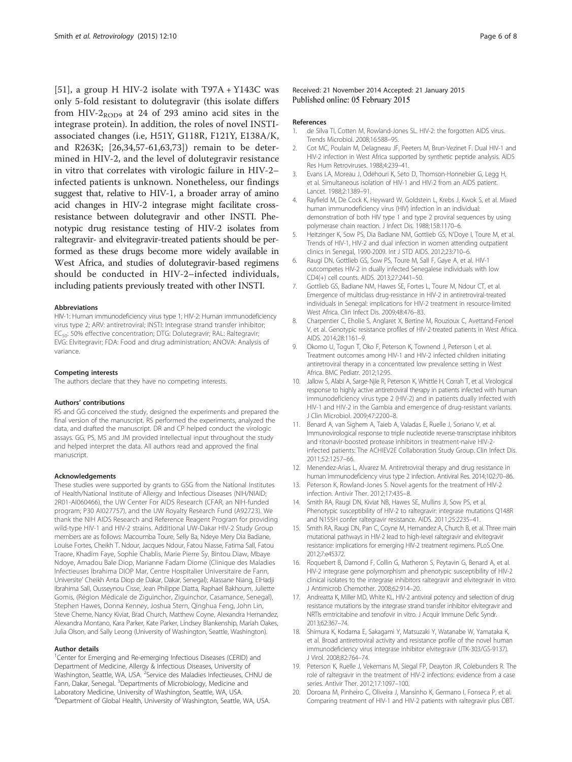<span id="page-6-0"></span>[[51\]](#page-7-0), a group H HIV-2 isolate with T97A + Y143C was only 5-fold resistant to dolutegravir (this isolate differs from HIV-2<sub>ROD9</sub> at 24 of 293 amino acid sites in the integrase protein). In addition, the roles of novel INSTIassociated changes (i.e, H51Y, G118R, F121Y, E138A/K, and R263K; [[26,34,57](#page-7-0)-[61,63](#page-7-0)[,73](#page-8-0)]) remain to be determined in HIV-2, and the level of dolutegravir resistance in vitro that correlates with virologic failure in HIV-2– infected patients is unknown. Nonetheless, our findings suggest that, relative to HIV-1, a broader array of amino acid changes in HIV-2 integrase might facilitate crossresistance between dolutegravir and other INSTI. Phenotypic drug resistance testing of HIV-2 isolates from raltegravir- and elvitegravir-treated patients should be performed as these drugs become more widely available in West Africa, and studies of dolutegravir-based regimens should be conducted in HIV-2–infected individuals, including patients previously treated with other INSTI.

#### Abbreviations

HIV-1: Human immunodeficiency virus type 1; HIV-2: Human immunodeficiency virus type 2; ARV: antiretroviral; INSTI: Integrase strand transfer inhibitor; EC<sub>50</sub>: 50% effective concentration; DTG: Dolutegravir; RAL: Raltegravir; EVG: Elvitegravir; FDA: Food and drug administration; ANOVA: Analysis of variance.

#### Competing interests

The authors declare that they have no competing interests.

#### Authors' contributions

RS and GG conceived the study, designed the experiments and prepared the final version of the manuscript. RS performed the experiments, analyzed the data, and drafted the manuscript. DR and CP helped conduct the virologic assays. GG, PS, MS and JM provided intellectual input throughout the study and helped interpret the data. All authors read and approved the final manuscript.

#### Acknowledgements

These studies were supported by grants to GSG from the National Institutes of Health/National Institute of Allergy and Infectious Diseases (NIH/NIAID; 2R01-AI060466), the UW Center For AIDS Research (CFAR, an NIH-funded program; P30 AI027757), and the UW Royalty Research Fund (A92723). We thank the NIH AIDS Research and Reference Reagent Program for providing wild-type HIV-1 and HIV-2 strains. Additional UW-Dakar HIV-2 Study Group members are as follows: Macoumba Toure, Selly Ba, Ndeye Mery Dia Badiane, Louise Fortes, Cheikh T. Ndour, Jacques Ndour, Fatou Niasse, Fatima Sall, Fatou Traore, Khadim Faye, Sophie Chablis, Marie Pierre Sy, Bintou Diaw, Mbaye Ndoye, Amadou Bale Diop, Marianne Fadam Diome (Clinique des Maladies Infectieuses Ibrahima DIOP Mar, Centre Hospitalier Universitaire de Fann, Universite' Cheikh Anta Diop de Dakar, Dakar, Senegal); Alassane Niang, ElHadji Ibrahima Sall, Ousseynou Cisse, Jean Philippe Diatta, Raphael Bakhoum, Juliette Gomis, (Région Médicale de Ziguinchor, Ziguinchor, Casamance, Senegal), Stephen Hawes, Donna Kenney, Joshua Stern, Qinghua Feng, John Lin, Steve Cherne, Nancy Kiviat, Brad Church, Matthew Coyne, Alexandra Hernandez, Alexandra Montano, Kara Parker, Kate Parker, Lindsey Blankenship, Mariah Oakes, Julia Olson, and Sally Leong (University of Washington, Seattle, Washington).

#### Author details

<sup>1</sup>Center for Emerging and Re-emerging Infectious Diseases (CERID) and Department of Medicine, Allergy & Infectious Diseases, University of Washington, Seattle, WA, USA. <sup>2</sup>Service des Maladies Infectieuses, CHNU de Fann, Dakar, Senegal. <sup>3</sup>Departments of Microbiology, Medicine and Laboratory Medicine, University of Washington, Seattle, WA, USA. 4 Department of Global Health, University of Washington, Seattle, WA, USA.

#### Received: 21 November 2014 Accepted: 21 January 2015 Published online: 05 February 2015

#### References

- de Silva TI, Cotten M, Rowland-Jones SL. HIV-2: the forgotten AIDS virus. Trends Microbiol. 2008;16:588–95.
- 2. Cot MC, Poulain M, Delagneau JF, Peeters M, Brun-Vezinet F. Dual HIV-1 and HIV-2 infection in West Africa supported by synthetic peptide analysis. AIDS Res Hum Retroviruses. 1988;4:239–41.
- 3. Evans LA, Moreau J, Odehouri K, Seto D, Thomson-Honnebier G, Legg H, et al. Simultaneous isolation of HIV-1 and HIV-2 from an AIDS patient. Lancet. 1988;2:1389–91.
- 4. Rayfield M, De Cock K, Heyward W, Goldstein L, Krebs J, Kwok S, et al. Mixed human immunodeficiency virus (HIV) infection in an individual: demonstration of both HIV type 1 and type 2 proviral sequences by using polymerase chain reaction. J Infect Dis. 1988;158:1170–6.
- 5. Heitzinger K, Sow PS, Dia Badiane NM, Gottlieb GS, N'Doye I, Toure M, et al. Trends of HIV-1, HIV-2 and dual infection in women attending outpatient clinics in Senegal, 1990-2009. Int J STD AIDS. 2012;23:710–6.
- 6. Raugi DN, Gottlieb GS, Sow PS, Toure M, Sall F, Gaye A, et al. HIV-1 outcompetes HIV-2 in dually infected Senegalese individuals with low CD4(+) cell counts. AIDS. 2013;27:2441–50.
- 7. Gottlieb GS, Badiane NM, Hawes SE, Fortes L, Toure M, Ndour CT, et al. Emergence of multiclass drug-resistance in HIV-2 in antiretroviral-treated individuals in Senegal: implications for HIV-2 treatment in resource-limited West Africa. Clin Infect Dis. 2009;48:476–83.
- 8. Charpentier C, Eholie S, Anglaret X, Bertine M, Rouzioux C, Avettand-Fenoel V, et al. Genotypic resistance profiles of HIV-2-treated patients in West Africa. AIDS. 2014;28:1161–9.
- 9. Okomo U, Togun T, Oko F, Peterson K, Townend J, Peterson I, et al. Treatment outcomes among HIV-1 and HIV-2 infected children initiating antiretroviral therapy in a concentrated low prevalence setting in West Africa. BMC Pediatr. 2012;12:95.
- 10. Jallow S, Alabi A, Sarge-Njie R, Peterson K, Whittle H, Corrah T, et al. Virological response to highly active antiretroviral therapy in patients infected with human immunodeficiency virus type 2 (HIV-2) and in patients dually infected with HIV-1 and HIV-2 in the Gambia and emergence of drug-resistant variants. J Clin Microbiol. 2009;47:2200–8.
- 11. Benard A, van Sighem A, Taieb A, Valadas E, Ruelle J, Soriano V, et al. Immunovirological response to triple nucleotide reverse-transcriptase inhibitors and ritonavir-boosted protease inhibitors in treatment-naive HIV-2 infected patients: The ACHIEV2E Collaboration Study Group. Clin Infect Dis. 2011;52:1257–66.
- 12. Menendez-Arias L, Alvarez M. Antiretroviral therapy and drug resistance in human immunodeficiency virus type 2 infection. Antiviral Res. 2014;102:70–86.
- 13. Peterson K, Rowland-Jones S. Novel agents for the treatment of HIV-2 infection. Antivir Ther. 2012;17:435–8.
- 14. Smith RA, Raugi DN, Kiviat NB, Hawes SE, Mullins JI, Sow PS, et al. Phenotypic susceptibility of HIV-2 to raltegravir: integrase mutations Q148R and N155H confer raltegravir resistance. AIDS. 2011;25:2235–41.
- 15. Smith RA, Raugi DN, Pan C, Coyne M, Hernandez A, Church B, et al. Three main mutational pathways in HIV-2 lead to high-level raltegravir and elvitegravir resistance: implications for emerging HIV-2 treatment regimens. PLoS One. 2012;7:e45372.
- 16. Roquebert B, Damond F, Collin G, Matheron S, Peytavin G, Benard A, et al. HIV-2 integrase gene polymorphism and phenotypic susceptibility of HIV-2 clinical isolates to the integrase inhibitors raltegravir and elvitegravir in vitro. J Antimicrob Chemother. 2008;62:914–20.
- 17. Andreatta K, Miller MD, White KL. HIV-2 antiviral potency and selection of drug resistance mutations by the integrase strand transfer inhibitor elvitegravir and NRTIs emtricitabine and tenofovir in vitro. J Acquir Immune Defic Syndr. 2013;62:367–74.
- 18. Shimura K, Kodama E, Sakagami Y, Matsuzaki Y, Watanabe W, Yamataka K, et al. Broad antiretroviral activity and resistance profile of the novel human immunodeficiency virus integrase inhibitor elvitegravir (JTK-303/GS-9137). J Virol. 2008;82:764–74.
- 19. Peterson K, Ruelle J, Vekemans M, Siegal FP, Deayton JR, Colebunders R. The role of raltegravir in the treatment of HIV-2 infections: evidence from a case series. Antivir Ther. 2012;17:1097–100.
- 20. Doroana M, Pinheiro C, Oliveira J, Mansinho K, Germano I, Fonseca P, et al. Comparing treatment of HIV-1 and HIV-2 patients with raltegravir plus OBT.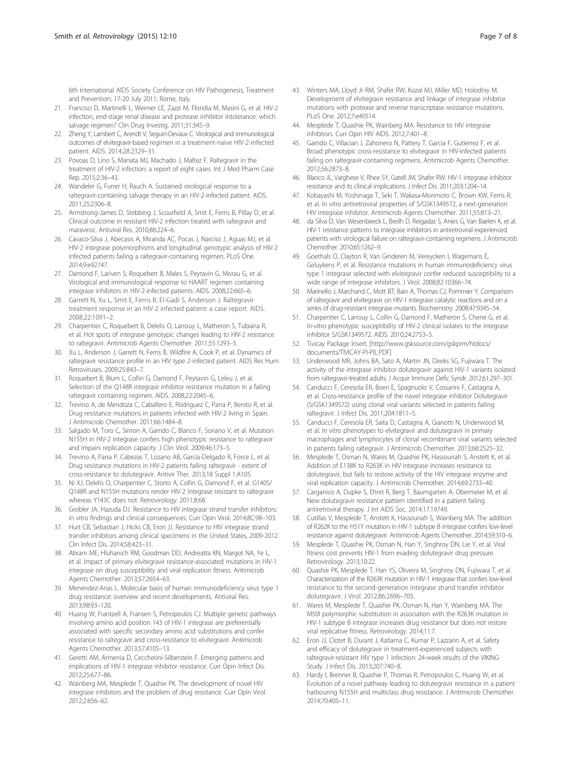<span id="page-7-0"></span>6th International AIDS Society Conference on HIV Pathogenesis, Treatment and Prevention; 17-20 July 2011; Rome, Italy.

- 21. Francisci D, Martinelli L, Weimer LE, Zazzi M, Floridia M, Masini G, et al. HIV-2 infection, end-stage renal disease and protease inhibitor intolerance: which salvage regimen? Clin Drug Investig. 2011;31:345–9.
- 22. Zheng Y, Lambert C, Arendt V, Seguin-Devaux C. Virological and immunological outcomes of elvitegravir-based regimen in a treatment-naive HIV-2-infected patient. AIDS. 2014;28:2329–31.
- 23. Povoas D, Lino S, Manata MJ, Machado J, Maltez F. Raltegravir in the treatment of HIV-2 infection: a report of eight cases. Int J Med Pharm Case Rep. 2015;2:36–43.
- 24. Wandeler G, Furrer H, Rauch A. Sustained virological response to a raltegravir-containing salvage therapy in an HIV-2-infected patient. AIDS. 2011;25:2306–8.
- 25. Armstrong-James D, Stebbing J, Scourfield A, Smit E, Ferns B, Pillay D, et al. Clinical outcome in resistant HIV-2 infection treated with raltegravir and maraviroc. Antiviral Res. 2010;86:224–6.
- Cavaco-Silva J, Abecasis A, Miranda AC, Pocas J, Narciso J, Aguas MJ, et al. HIV-2 integrase polymorphisms and longitudinal genotypic analysis of HIV-2 infected patients failing a raltegravir-containing regimen. PLoS One. 2014;9:e92747.
- 27. Damond F, Lariven S, Roquebert B, Males S, Peytavin G, Morau G, et al. Virological and immunological response to HAART regimen containing integrase inhibitors in HIV-2-infected patients. AIDS. 2008;22:665–6.
- 28. Garrett N, Xu L, Smit E, Ferns B, El-Gadi S, Anderson J. Raltegravir treatment response in an HIV-2 infected patient: a case report. AIDS. 2008;22:1091–2.
- 29. Charpentier C, Roquebert B, Delelis O, Larrouy L, Matheron S, Tubiana R, et al. Hot spots of integrase genotypic changes leading to HIV-2 resistance to raltegravir. Antimicrob Agents Chemother. 2011;55:1293–5.
- 30. Xu L, Anderson J, Garrett N, Ferns B, Wildfire A, Cook P, et al. Dynamics of raltegravir resistance profile in an HIV type 2-infected patient. AIDS Res Hum Retroviruses. 2009;25:843–7.
- 31. Roquebert B, Blum L, Collin G, Damond F, Peytavin G, Leleu J, et al. Selection of the Q148R integrase inhibitor resistance mutation in a failing raltegravir containing regimen. AIDS. 2008;22:2045–6.
- 32. Trevino A, de Mendoza C, Caballero E, Rodriguez C, Parra P, Benito R, et al. Drug resistance mutations in patients infected with HIV-2 living in Spain. J Antimicrob Chemother. 2011;66:1484–8.
- 33. Salgado M, Toro C, Simon A, Garrido C, Blanco F, Soriano V, et al. Mutation N155H in HIV-2 integrase confers high phenotypic resistance to raltegravir and impairs replication capacity. J Clin Virol. 2009;46:173–5.
- 34. Trevino A, Parra P, Cabezas T, Lozano AB, Garcia-Delgado R, Force L, et al. Drug resistance mutations in HIV-2 patients failing raltegravir - extent of cross-resistance to dolutegravir. Antivir Ther. 2013;18 Suppl 1:A105.
- 35. Ni XJ, Delelis O, Charpentier C, Storto A, Collin G, Damond F, et al. G140S/ Q148R and N155H mutations render HIV-2 Integrase resistant to raltegravir whereas Y143C does not. Retrovirology. 2011;8:68.
- 36. Grobler JA, Hazuda DJ. Resistance to HIV integrase strand transfer inhibitors: in vitro findings and clinical consequences. Curr Opin Virol. 2014;8C:98–103.
- 37. Hurt CB, Sebastian J, Hicks CB, Eron JJ. Resistance to HIV integrase strand transfer inhibitors among clinical specimens in the United States, 2009-2012. Clin Infect Dis. 2014;58:423–31.
- 38. Abram ME, Hluhanich RM, Goodman DD, Andreatta KN, Margot NA, Ye L, et al. Impact of primary elvitegravir resistance-associated mutations in HIV-1 integrase on drug susceptibility and viral replication fitness. Antimicrob Agents Chemother. 2013;57:2654–63.
- 39. Menendez-Arias L. Molecular basis of human immunodeficiency virus type 1 drug resistance: overview and recent developments. Antiviral Res. 2013;98:93–120.
- 40. Huang W, Frantzell A, Fransen S, Petropoulos CJ. Multiple genetic pathways involving amino acid position 143 of HIV-1 integrase are preferentially associated with specific secondary amino acid substitutions and confer resistance to raltegravir and cross-resistance to elvitegravir. Antimicrob Agents Chemother. 2013;57:4105–13.
- 41. Geretti AM, Armenia D, Ceccherini-Silberstein F. Emerging patterns and implications of HIV-1 integrase inhibitor resistance. Curr Opin Infect Dis. 2012;25:677–86.
- 42. Wainberg MA, Mesplede T, Quashie PK. The development of novel HIV integrase inhibitors and the problem of drug resistance. Curr Opin Virol. 2012;2:656–62.
- 43. Winters MA, Lloyd Jr RM, Shafer RW, Kozal MJ, Miller MD, Holodniy M. Development of elvitegravir resistance and linkage of integrase inhibitor mutations with protease and reverse transcriptase resistance mutations. PLoS One. 2012;7:e40514.
- 44. Mesplede T, Quashie PK, Wainberg MA. Resistance to HIV integrase inhibitors. Curr Opin HIV AIDS. 2012;7:401–8.
- 45. Garrido C, Villacian J, Zahonero N, Pattery T, Garcia F, Gutierrez F, et al. Broad phenotypic cross-resistance to elvitegravir in HIV-infected patients failing on raltegravir-containing regimens. Antimicrob Agents Chemother. 2012;56:2873–8.
- 46. Blanco JL, Varghese V, Rhee SY, Gatell JM, Shafer RW. HIV-1 integrase inhibitor resistance and its clinical implications. J Infect Dis. 2011;203:1204–14.
- 47. Kobayashi M, Yoshinaga T, Seki T, Wakasa-Morimoto C, Brown KW, Ferris R, et al. In vitro antiretroviral properties of S/GSK1349572, a next-generation HIV integrase inhibitor. Antimicrob Agents Chemother. 2011;55:813–21.
- 48. da Silva D, Van Wesenbeeck L, Breilh D, Reigadas S, Anies G, Van Baelen K, et al. HIV-1 resistance patterns to integrase inhibitors in antiretroviral-experienced patients with virological failure on raltegravir-containing regimens. J Antimicrob Chemother. 2010;65:1262–9.
- 49. Goethals O, Clayton R, Van Ginderen M, Vereycken I, Wagemans E, Geluykens P, et al. Resistance mutations in human immunodeficiency virus type 1 integrase selected with elvitegravir confer reduced susceptibility to a wide range of integrase inhibitors. J Virol. 2008;82:10366–74.
- 50. Marinello J, Marchand C, Mott BT, Bain A, Thomas CJ, Pommier Y. Comparison of raltegravir and elvitegravir on HIV-1 integrase catalytic reactions and on a series of drug-resistant integrase mutants. Biochemistry. 2008;47:9345–54.
- 51. Charpentier C, Larrouy L, Collin G, Damond F, Matheron S, Chene G, et al. In-vitro phenotypic susceptibility of HIV-2 clinical isolates to the integrase inhibitor S/GSK1349572. AIDS. 2010;24:2753–5.
- 52. Tivicay Package Insert. [[http://www.gsksource.com/gskprm/htdocs/](http://www.gsksource.com/gskprm/htdocs/documents/TIVICAY-PI-PIL.PDF) [documents/TIVICAY-PI-PIL.PDF\]](http://www.gsksource.com/gskprm/htdocs/documents/TIVICAY-PI-PIL.PDF)
- 53. Underwood MR, Johns BA, Sato A, Martin JN, Deeks SG, Fujiwara T. The activity of the integrase inhibitor dolutegravir against HIV-1 variants isolated from raltegravir-treated adults. J Acquir Immune Defic Syndr. 2012;61:297–301.
- 54. Canducci F, Ceresola ER, Boeri E, Spagnuolo V, Cossarini F, Castagna A, et al. Cross-resistance profile of the novel integrase inhibitor Dolutegravir (S/GSK1349572) using clonal viral variants selected in patients failing raltegravir. J Infect Dis. 2011;204:1811–5.
- 55. Canducci F, Ceresola ER, Saita D, Castagna A, Gianotti N, Underwood M, et al. In vitro phenotypes to elvitegravir and dolutegravir in primary macrophages and lymphocytes of clonal recombinant viral variants selected in patients failing raltegravir. J Antimicrob Chemother. 2013;68:2525–32.
- 56. Mesplede T, Osman N, Wares M, Quashie PK, Hassounah S, Anstett K, et al. Addition of E138K to R263K in HIV integrase increases resistance to dolutegravir, but fails to restore activity of the HIV integrase enzyme and viral replication capacity. J Antimicrob Chemother. 2014;69:2733–40.
- 57. Carganico A, Dupke S, Ehret R, Berg T, Baumgarten A, Obermeier M, et al. New dolutegravir resistance pattern identified in a patient failing antiretroviral therapy. J Int AIDS Soc. 2014;17:19749.
- 58. Cutillas V, Mesplede T, Anstett K, Hassounah S, Wainberg MA. The addition of R262K to the H51Y mutation in HIV-1 subtype B integrase confers low-level resistance against dolutegravir. Antimicrob Agents Chemother. 2014;59:310–6.
- 59. Mesplede T, Quashie PK, Osman N, Han Y, Singhroy DN, Lie Y, et al. Viral fitness cost prevents HIV-1 from evading dolutegravir drug pressure. Retrovirology. 2013;10:22.
- 60. Quashie PK, Mesplede T, Han YS, Oliveira M, Singhroy DN, Fujiwara T, et al. Characterization of the R263K mutation in HIV-1 integrase that confers low-level resistance to the second-generation integrase strand transfer inhibitor dolutegravir. J Virol. 2012;86:2696–705.
- 61. Wares M, Mesplede T, Quashie PK, Osman N, Han Y, Wainberg MA. The M50I polymorphic substitution in association with the R263K mutation in HIV-1 subtype B integrase increases drug resistance but does not restore viral replicative fitness. Retrovirology. 2014;11:7.
- 62. Eron JJ, Clotet B, Durant J, Katlama C, Kumar P, Lazzarin A, et al. Safety and efficacy of dolutegravir in treatment-experienced subjects with raltegravir-resistant HIV type 1 infection: 24-week results of the VIKING Study. J Infect Dis. 2013;207:740–8.
- 63. Hardy I, Brenner B, Quashie P, Thomas R, Petropoulos C, Huang W, et al. Evolution of a novel pathway leading to dolutegravir resistance in a patient harbouring N155H and multiclass drug resistance. J Antimicrob Chemother. 2014;70:405–11.